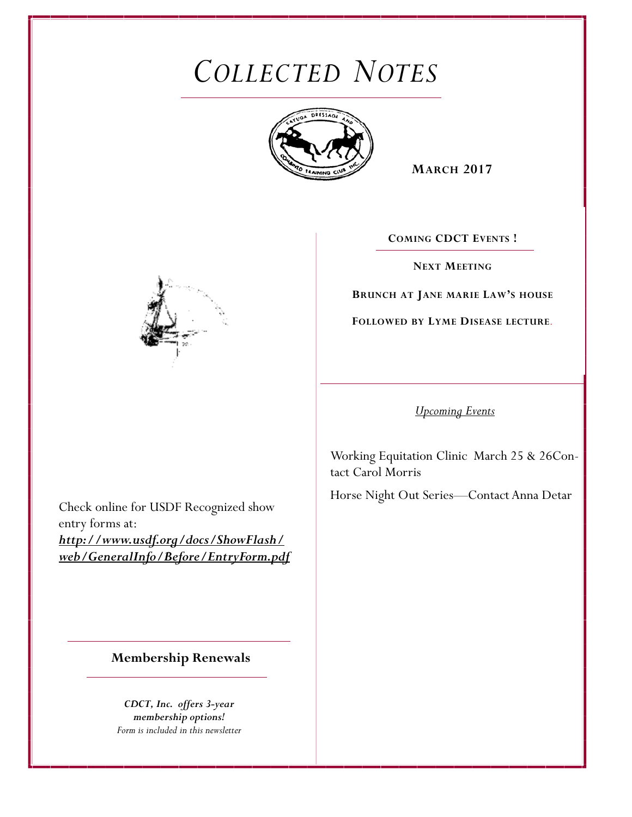# *COLLECTED NOTES*



**MARCH 2017** 

**COMING CDCT EVENTS !**

**NEXT MEETING**

**BRUNCH AT JANE MARIE LAW'S HOUSE** 

**FOLLOWED BY LYME DISEASE LECTURE***.* 



*Upcoming Events* 

Working Equitation Clinic March 25 & 26Contact Carol Morris

Horse Night Out Series—Contact Anna Detar

Check online for USDF Recognized show entry forms at: *http://www.usdf.org/docs/ShowFlash/ web/GeneralInfo/Before/EntryForm.pdf* 

**Membership Renewals** 

*CDCT, Inc. offers 3-year membership options! Form is included in this newsletter*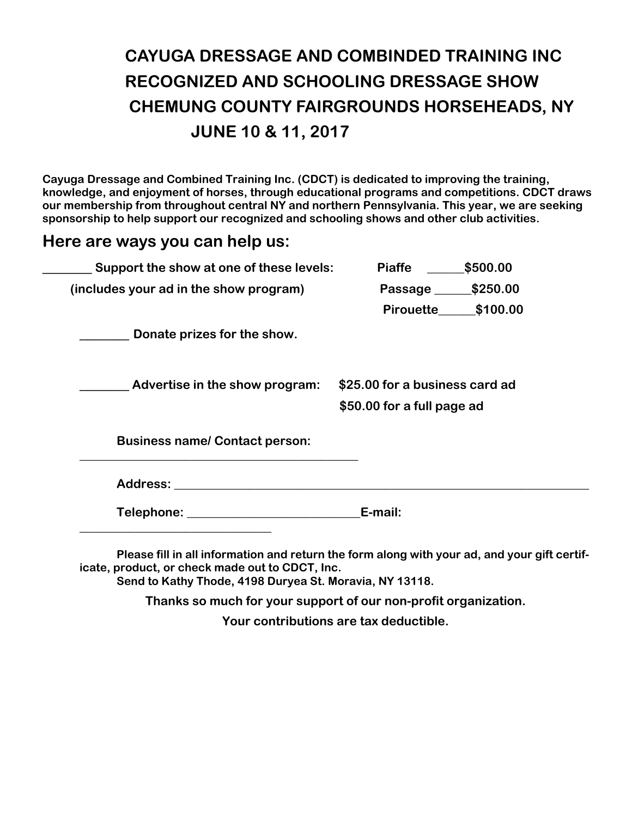# **CAYUGA DRESSAGE AND COMBINDED TRAINING INC RECOGNIZED AND SCHOOLING DRESSAGE SHOW CHEMUNG COUNTY FAIRGROUNDS HORSEHEADS, NY JUNE 10 & 11, 2017**

**Cayuga Dressage and Combined Training Inc. (CDCT) is dedicated to improving the training, knowledge, and enjoyment of horses, through educational programs and competitions. CDCT draws our membership from throughout central NY and northern Pennsylvania. This year, we are seeking sponsorship to help support our recognized and schooling shows and other club activities.** 

## **Here are ways you can help us:**

| Support the show at one of these levels:                                                                                                                                                                                       | <b>Piaffe</b>                                                | \$500.00           |
|--------------------------------------------------------------------------------------------------------------------------------------------------------------------------------------------------------------------------------|--------------------------------------------------------------|--------------------|
| (includes your ad in the show program)                                                                                                                                                                                         | Passage _______ \$250.00                                     |                    |
|                                                                                                                                                                                                                                |                                                              | Pirouette \$100.00 |
| Donate prizes for the show.                                                                                                                                                                                                    |                                                              |                    |
| Advertise in the show program:                                                                                                                                                                                                 | \$25.00 for a business card ad<br>\$50.00 for a full page ad |                    |
| <b>Business name/ Contact person:</b>                                                                                                                                                                                          |                                                              |                    |
| Address: Andreas Address Address Address Address Address Address Address Address Address Address Address Address Address Address Address Address Address Address Address Address Address Address Address Address Address Addre |                                                              |                    |
| Telephone: University of the Contract of the Contract of Telephone:                                                                                                                                                            | E-mail:                                                      |                    |
| Please fill in all information and return the form along with your ad and your gift certif-                                                                                                                                    |                                                              |                    |

**Please fill in all information and return the form along with your ad, and your gift certificate, product, or check made out to CDCT, Inc.** 

**Send to Kathy Thode, 4198 Duryea St. Moravia, NY 13118.** 

**Thanks so much for your support of our non-profit organization.** 

**Your contributions are tax deductible.**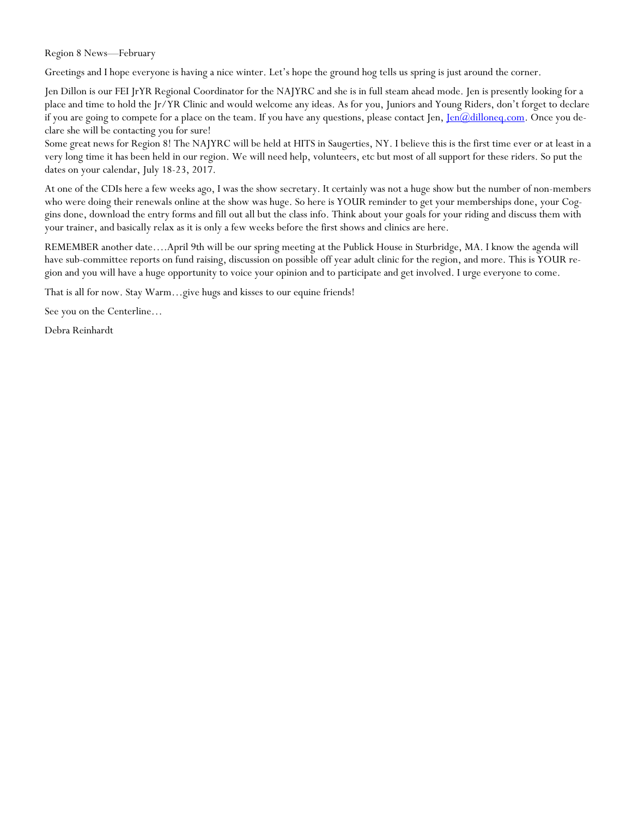Region 8 News—February

Greetings and I hope everyone is having a nice winter. Let's hope the ground hog tells us spring is just around the corner.

Jen Dillon is our FEI JrYR Regional Coordinator for the NAJYRC and she is in full steam ahead mode. Jen is presently looking for a place and time to hold the Jr/YR Clinic and would welcome any ideas. As for you, Juniors and Young Riders, don't forget to declare if you are going to compete for a place on the team. If you have any questions, please contact Jen, Jen@dilloneq.com. Once you declare she will be contacting you for sure!

Some great news for Region 8! The NAJYRC will be held at HITS in Saugerties, NY. I believe this is the first time ever or at least in a very long time it has been held in our region. We will need help, volunteers, etc but most of all support for these riders. So put the dates on your calendar, July 18-23, 2017.

At one of the CDIs here a few weeks ago, I was the show secretary. It certainly was not a huge show but the number of non-members who were doing their renewals online at the show was huge. So here is YOUR reminder to get your memberships done, your Coggins done, download the entry forms and fill out all but the class info. Think about your goals for your riding and discuss them with your trainer, and basically relax as it is only a few weeks before the first shows and clinics are here.

REMEMBER another date….April 9th will be our spring meeting at the Publick House in Sturbridge, MA. I know the agenda will have sub-committee reports on fund raising, discussion on possible off year adult clinic for the region, and more. This is YOUR region and you will have a huge opportunity to voice your opinion and to participate and get involved. I urge everyone to come.

That is all for now. Stay Warm…give hugs and kisses to our equine friends!

See you on the Centerline…

Debra Reinhardt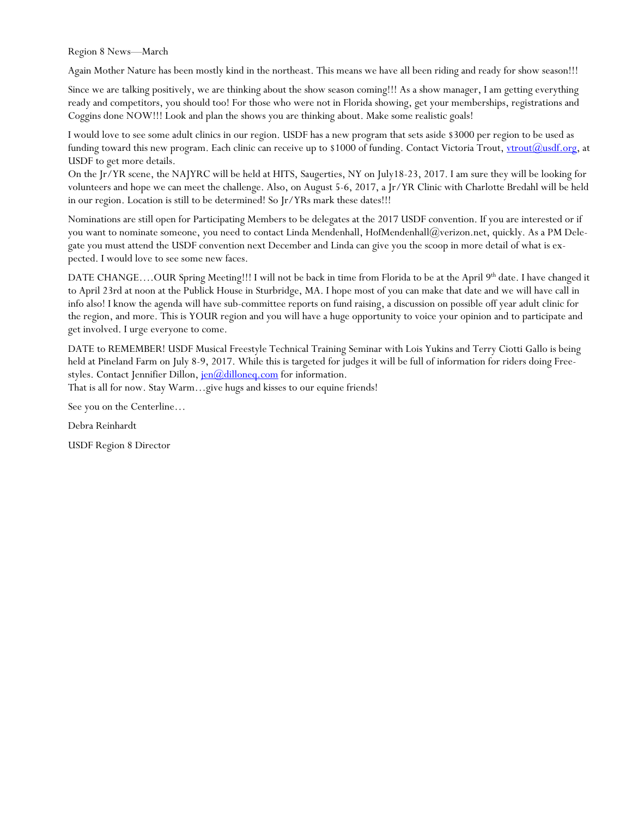Region 8 News—March

Again Mother Nature has been mostly kind in the northeast. This means we have all been riding and ready for show season!!!

Since we are talking positively, we are thinking about the show season coming!!! As a show manager, I am getting everything ready and competitors, you should too! For those who were not in Florida showing, get your memberships, registrations and Coggins done NOW!!! Look and plan the shows you are thinking about. Make some realistic goals!

I would love to see some adult clinics in our region. USDF has a new program that sets aside \$3000 per region to be used as funding toward this new program. Each clinic can receive up to \$1000 of funding. Contact Victoria Trout, vtrout(@usdf.org, at USDF to get more details.

On the Jr/YR scene, the NAJYRC will be held at HITS, Saugerties, NY on July18-23, 2017. I am sure they will be looking for volunteers and hope we can meet the challenge. Also, on August 5-6, 2017, a Jr/YR Clinic with Charlotte Bredahl will be held in our region. Location is still to be determined! So Jr/YRs mark these dates!!!

Nominations are still open for Participating Members to be delegates at the 2017 USDF convention. If you are interested or if you want to nominate someone, you need to contact Linda Mendenhall, HofMendenhall@verizon.net, quickly. As a PM Delegate you must attend the USDF convention next December and Linda can give you the scoop in more detail of what is expected. I would love to see some new faces.

DATE CHANGE....OUR Spring Meeting!!! I will not be back in time from Florida to be at the April 9<sup>th</sup> date. I have changed it to April 23rd at noon at the Publick House in Sturbridge, MA. I hope most of you can make that date and we will have call in info also! I know the agenda will have sub-committee reports on fund raising, a discussion on possible off year adult clinic for the region, and more. This is YOUR region and you will have a huge opportunity to voice your opinion and to participate and get involved. I urge everyone to come.

DATE to REMEMBER! USDF Musical Freestyle Technical Training Seminar with Lois Yukins and Terry Ciotti Gallo is being held at Pineland Farm on July 8-9, 2017. While this is targeted for judges it will be full of information for riders doing Freestyles. Contact Jennifier Dillon, jen@dilloneq.com for information.

That is all for now. Stay Warm…give hugs and kisses to our equine friends!

See you on the Centerline…

Debra Reinhardt

USDF Region 8 Director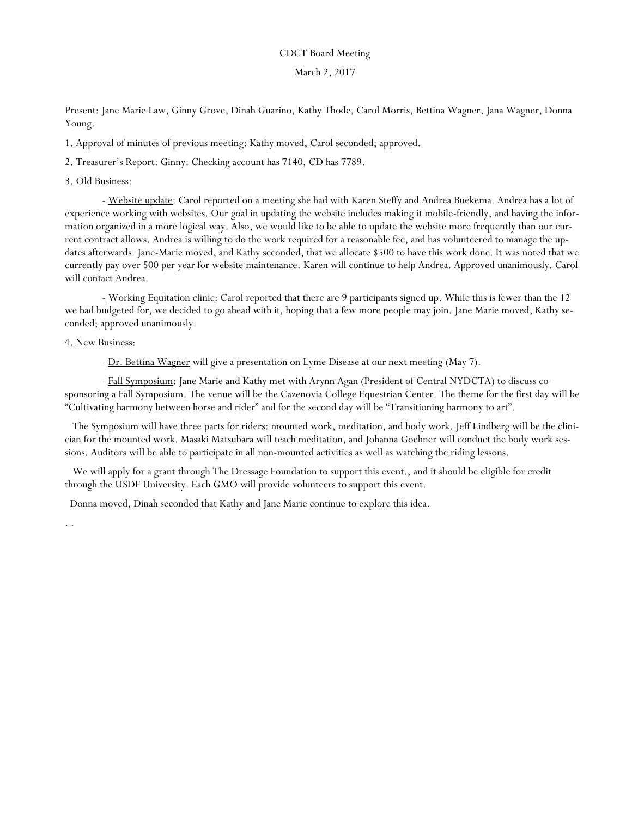#### CDCT Board Meeting

#### March 2, 2017

Present: Jane Marie Law, Ginny Grove, Dinah Guarino, Kathy Thode, Carol Morris, Bettina Wagner, Jana Wagner, Donna Young.

1. Approval of minutes of previous meeting: Kathy moved, Carol seconded; approved.

2. Treasurer's Report: Ginny: Checking account has 7140, CD has 7789.

3. Old Business:

- Website update: Carol reported on a meeting she had with Karen Steffy and Andrea Buekema. Andrea has a lot of experience working with websites. Our goal in updating the website includes making it mobile-friendly, and having the information organized in a more logical way. Also, we would like to be able to update the website more frequently than our current contract allows. Andrea is willing to do the work required for a reasonable fee, and has volunteered to manage the updates afterwards. Jane-Marie moved, and Kathy seconded, that we allocate \$500 to have this work done. It was noted that we currently pay over 500 per year for website maintenance. Karen will continue to help Andrea. Approved unanimously. Carol will contact Andrea.

- Working Equitation clinic: Carol reported that there are 9 participants signed up. While this is fewer than the 12 we had budgeted for, we decided to go ahead with it, hoping that a few more people may join. Jane Marie moved, Kathy seconded; approved unanimously.

4. New Business:

- Dr. Bettina Wagner will give a presentation on Lyme Disease at our next meeting (May 7).

 - Fall Symposium: Jane Marie and Kathy met with Arynn Agan (President of Central NYDCTA) to discuss cosponsoring a Fall Symposium. The venue will be the Cazenovia College Equestrian Center. The theme for the first day will be "Cultivating harmony between horse and rider" and for the second day will be "Transitioning harmony to art".

 The Symposium will have three parts for riders: mounted work, meditation, and body work. Jeff Lindberg will be the clinician for the mounted work. Masaki Matsubara will teach meditation, and Johanna Goehner will conduct the body work sessions. Auditors will be able to participate in all non-mounted activities as well as watching the riding lessons.

We will apply for a grant through The Dressage Foundation to support this event., and it should be eligible for credit through the USDF University. Each GMO will provide volunteers to support this event.

Donna moved, Dinah seconded that Kathy and Jane Marie continue to explore this idea.

. .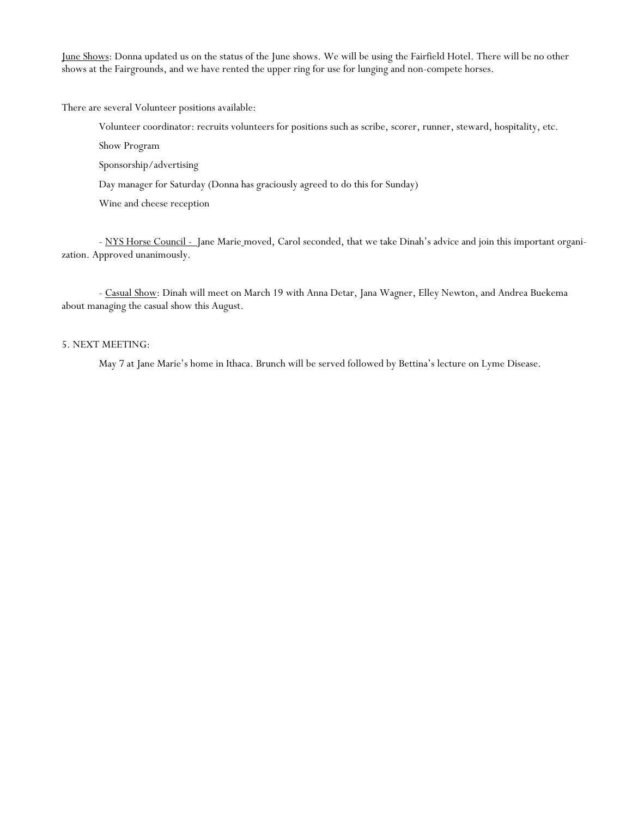June Shows: Donna updated us on the status of the June shows. We will be using the Fairfield Hotel. There will be no other shows at the Fairgrounds, and we have rented the upper ring for use for lunging and non-compete horses.

There are several Volunteer positions available:

Volunteer coordinator: recruits volunteers for positions such as scribe, scorer, runner, steward, hospitality, etc.

Show Program

Sponsorship/advertising

Day manager for Saturday (Donna has graciously agreed to do this for Sunday)

Wine and cheese reception

- NYS Horse Council - Jane Marie moved, Carol seconded, that we take Dinah's advice and join this important organization. Approved unanimously.

 - Casual Show: Dinah will meet on March 19 with Anna Detar, Jana Wagner, Elley Newton, and Andrea Buekema about managing the casual show this August.

#### 5. NEXT MEETING:

May 7 at Jane Marie's home in Ithaca. Brunch will be served followed by Bettina's lecture on Lyme Disease.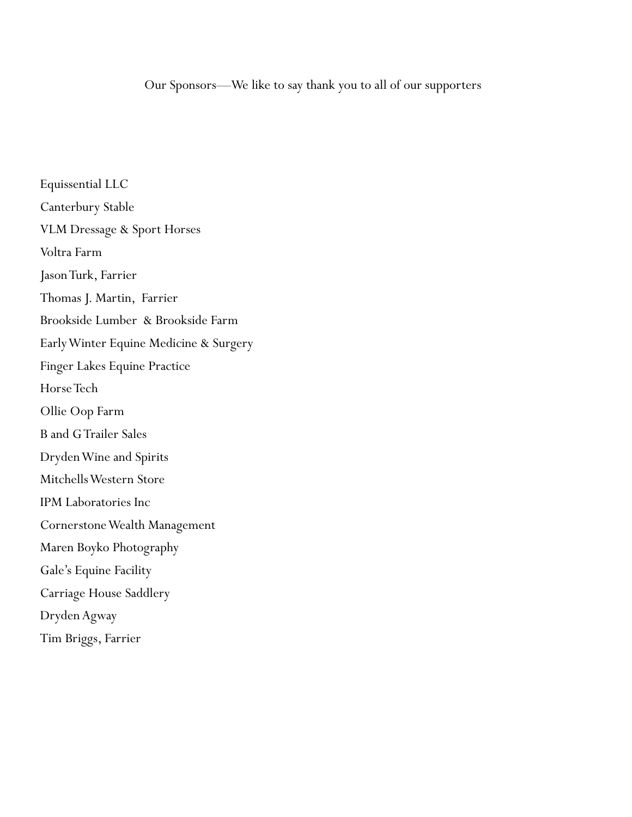Equissential LLC Canterbury Stable VLM Dressage & Sport Horses Voltra Farm Jason Turk, Farrier Thomas J. Martin, Farrier Brookside Lumber & Brookside Farm Early Winter Equine Medicine & Surgery Finger Lakes Equine Practice Horse Tech Ollie Oop Farm B and G Trailer Sales Dryden Wine and Spirits Mitchells Western Store IPM Laboratories Inc Cornerstone Wealth Management Maren Boyko Photography Gale's Equine Facility Carriage House Saddlery Dryden Agway Tim Briggs, Farrier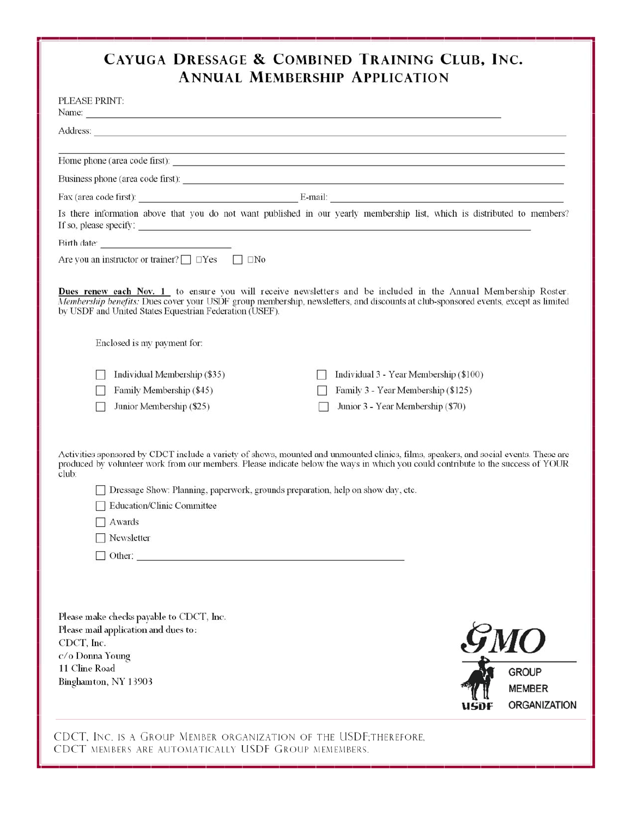# **CAYUGA DRESSAGE & COMBINED TRAINING CLUB, INC. ANNUAL MEMBERSHIP APPLICATION**

| Name:<br>Address:<br><u> 1989 - Johann Stoff, amerikansk politiker (* 1908)</u><br>Home phone (area code first):<br>Business phone (area code first):<br>Fax (area code first): E-mail: E-mail:<br>Is there information above that you do not want published in our yearly membership list, which is distributed to members?<br>If so, please specify:<br>Birth date:<br>Are you an instructor or trainer? $\Box$ $\Box$ Yes $\Box$ $\Box$ No<br>Dues renew each Nov. 1 to ensure you will receive newsletters and be included in the Annual Membership Roster.<br>Membership benefits: Dues cover your USDF group membership, newsletters, and discounts at club-sponsored events, except as limited<br>by USDF and United States Equestrian Federation (USEF).<br>Enclosed is my payment for: | PLEASE PRINT: |  |  |                     |
|-------------------------------------------------------------------------------------------------------------------------------------------------------------------------------------------------------------------------------------------------------------------------------------------------------------------------------------------------------------------------------------------------------------------------------------------------------------------------------------------------------------------------------------------------------------------------------------------------------------------------------------------------------------------------------------------------------------------------------------------------------------------------------------------------|---------------|--|--|---------------------|
|                                                                                                                                                                                                                                                                                                                                                                                                                                                                                                                                                                                                                                                                                                                                                                                                 |               |  |  |                     |
|                                                                                                                                                                                                                                                                                                                                                                                                                                                                                                                                                                                                                                                                                                                                                                                                 |               |  |  |                     |
|                                                                                                                                                                                                                                                                                                                                                                                                                                                                                                                                                                                                                                                                                                                                                                                                 |               |  |  |                     |
|                                                                                                                                                                                                                                                                                                                                                                                                                                                                                                                                                                                                                                                                                                                                                                                                 |               |  |  |                     |
|                                                                                                                                                                                                                                                                                                                                                                                                                                                                                                                                                                                                                                                                                                                                                                                                 |               |  |  |                     |
|                                                                                                                                                                                                                                                                                                                                                                                                                                                                                                                                                                                                                                                                                                                                                                                                 |               |  |  |                     |
|                                                                                                                                                                                                                                                                                                                                                                                                                                                                                                                                                                                                                                                                                                                                                                                                 |               |  |  |                     |
|                                                                                                                                                                                                                                                                                                                                                                                                                                                                                                                                                                                                                                                                                                                                                                                                 |               |  |  |                     |
|                                                                                                                                                                                                                                                                                                                                                                                                                                                                                                                                                                                                                                                                                                                                                                                                 |               |  |  |                     |
| Individual Membership (\$35)<br>Individual 3 - Year Membership (\$100)<br>Family Membership (\$45)<br>Family 3 - Year Membership (\$125)<br>Junior Membership (\$25)<br>Junior 3 - Year Membership (\$70)                                                                                                                                                                                                                                                                                                                                                                                                                                                                                                                                                                                       |               |  |  |                     |
| Activities sponsored by CDCT include a variety of shows, mounted and unmounted clinics, films, speakers, and social events. These are<br>produced by volunteer work from our members. Please indicate below the ways in which you could contribute to the success of YOUR<br>club:<br>Dressage Show: Planning, paperwork, grounds preparation, help on show day, etc.<br><b>Education/Clinic Committee</b><br>Awards<br>Newsletter<br>$\Box$ Other:                                                                                                                                                                                                                                                                                                                                             |               |  |  |                     |
| Please make checks payable to CDCT, Inc.<br>Please mail application and dues to:<br>$\mathcal{G}MO$<br>CDCT, Inc.<br>c/o Donna Young<br>11 Cline Road<br><b>GROUP</b><br>Binghamton, NY 13903<br><b>MEMBER</b>                                                                                                                                                                                                                                                                                                                                                                                                                                                                                                                                                                                  |               |  |  | <b>ORGANIZATION</b> |
| CDCT, INC. IS A GROUP MEMBER ORGANIZATION OF THE USDF;THEREFORE,<br>CDCT MEMBERS ARE AUTOMATICALLY USDF GROUP MEMEMBERS.                                                                                                                                                                                                                                                                                                                                                                                                                                                                                                                                                                                                                                                                        |               |  |  |                     |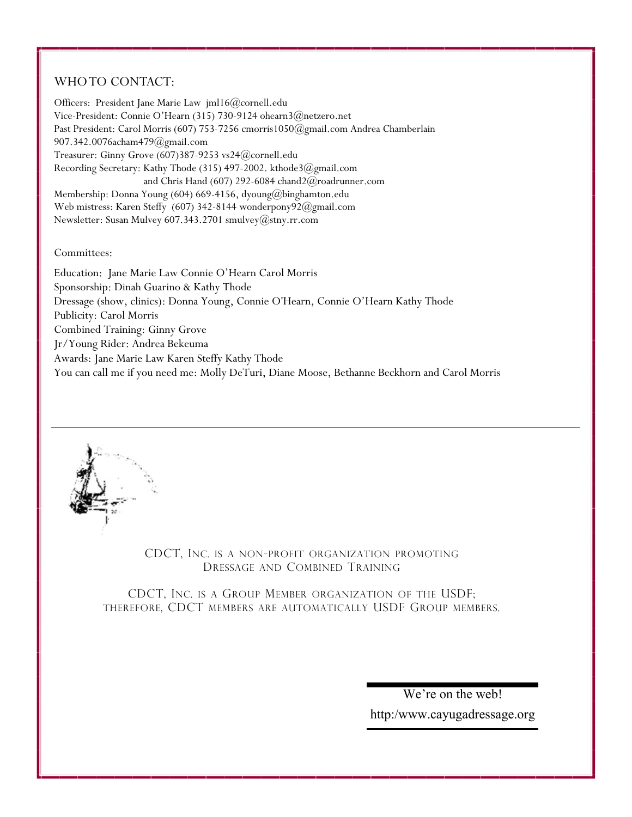### WHO TO CONTACT:

Officers: President Jane Marie Law jml16@cornell.edu Vice-President: Connie O'Hearn (315) 730-9124 ohearn3@netzero.net Past President: Carol Morris (607) 753-7256 cmorris1050@gmail.com Andrea Chamberlain 907.342.0076acham479@gmail.com Treasurer: Ginny Grove (607)387-9253 vs24@cornell.edu Recording Secretary: Kathy Thode (315) 497-2002. kthode3@gmail.com and Chris Hand (607) 292-6084 chand2@roadrunner.com Membership: Donna Young (604) 669-4156, dyoung@binghamton.edu Web mistress: Karen Steffy (607) 342-8144 wonderpony92@gmail.com Newsletter: Susan Mulvey 607.343.2701 smulvey@stny.rr.com

Committees:

Education: Jane Marie Law Connie O'Hearn Carol Morris Sponsorship: Dinah Guarino & Kathy Thode Dressage (show, clinics): Donna Young, Connie O'Hearn, Connie O'Hearn Kathy Thode Publicity: Carol Morris Combined Training: Ginny Grove Jr/Young Rider: Andrea Bekeuma Awards: Jane Marie Law Karen Steffy Kathy Thode You can call me if you need me: Molly DeTuri, Diane Moose, Bethanne Beckhorn and Carol Morris



CDCT, INC. IS A NON-PROFIT ORGANIZATION PROMOTING DRESSAGE AND COMBINED TRAINING

CDCT, INC. IS A GROUP MEMBER ORGANIZATION OF THE USDF; THEREFORE, CDCT MEMBERS ARE AUTOMATICALLY USDF GROUP MEMBERS.

> We're on the web! http:/www.cayugadressage.org